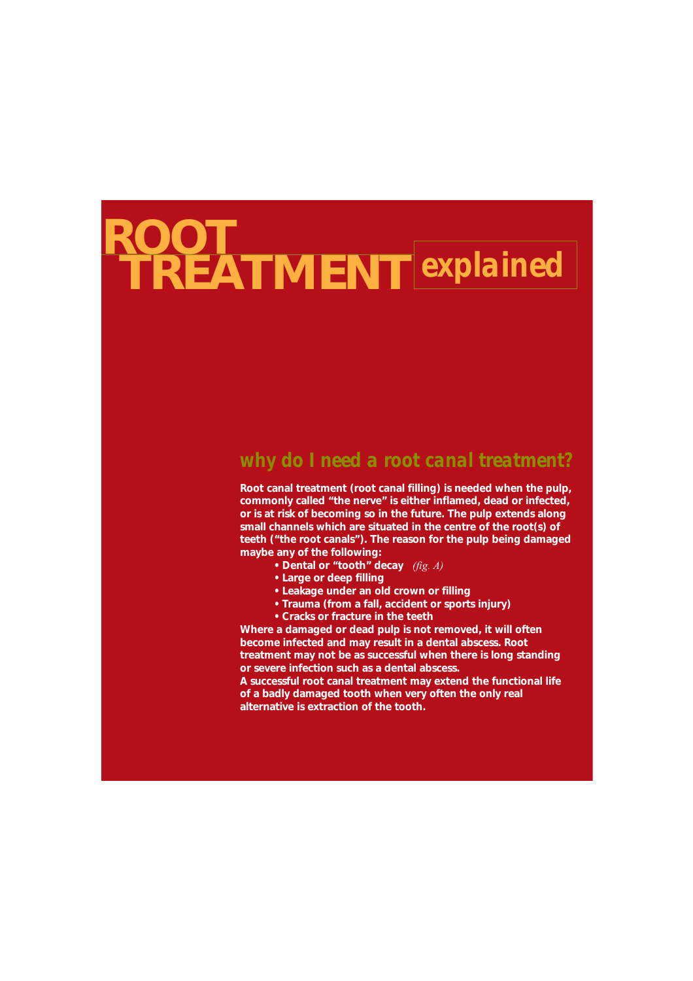# **TREATMENT** *explained* **ROOT**

#### *why do I need a root canal treatment?*

**Root canal treatment (root canal filling) is needed when the pulp, commonly called "the nerve" is either inflamed, dead or infected, or is at risk of becoming so in the future. The pulp extends along small channels which are situated in the centre of the root(s) of teeth ("the root canals"). The reason for the pulp being damaged maybe any of the following:**

- **Dental or "tooth" decay** *(fig. A)*
	- **Large or deep filling**
	- **Leakage under an old crown or filling**
	- **Trauma (from a fall, accident or sports injury)**
- **Cracks or fracture in the teeth**

**Where a damaged or dead pulp is not removed, it will often become infected and may result in a dental abscess. Root treatment may not be as successful when there is long standing or severe infection such as a dental abscess.** 

**A successful root canal treatment may extend the functional life of a badly damaged tooth when very often the only real alternative is extraction of the tooth.**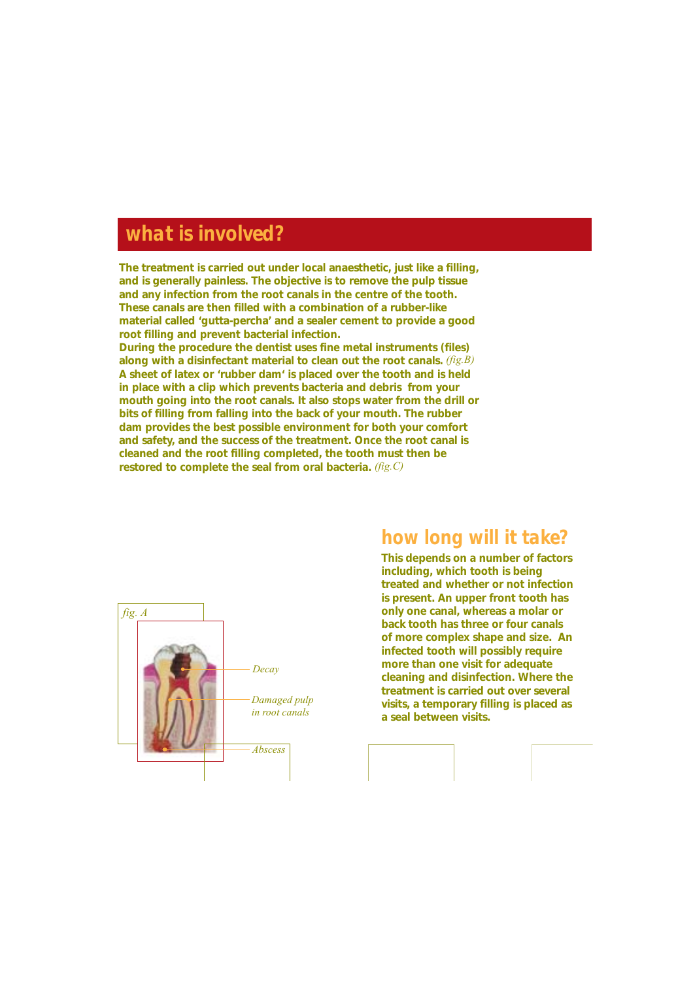## *what is involved?*

**The treatment is carried out under local anaesthetic, just like a filling, and is generally painless. The objective is to remove the pulp tissue and any infection from the root canals in the centre of the tooth. These canals are then filled with a combination of a rubber-like material called 'gutta-percha' and a sealer cement to provide a good root filling and prevent bacterial infection. During the procedure the dentist uses fine metal instruments (files) along with a disinfectant material to clean out the root canals.** *(fig.B)* **A sheet of latex or 'rubber dam' is placed over the tooth and is held in place with a clip which prevents bacteria and debris from your mouth going into the root canals. It also stops water from the drill or bits of filling from falling into the back of your mouth. The rubber dam provides the best possible environment for both your comfort and safety, and the success of the treatment. Once the root canal is cleaned and the root filling completed, the tooth must then be**

**restored to complete the seal from oral bacteria.** *(fig.C)*



#### *how long will it take?*

**This depends on a number of factors including, which tooth is being treated and whether or not infection is present. An upper front tooth has only one canal, whereas a molar or back tooth has three or four canals of more complex shape and size. An infected tooth will possibly require more than one visit for adequate cleaning and disinfection. Where the treatment is carried out over several visits, a temporary filling is placed as a seal between visits.**

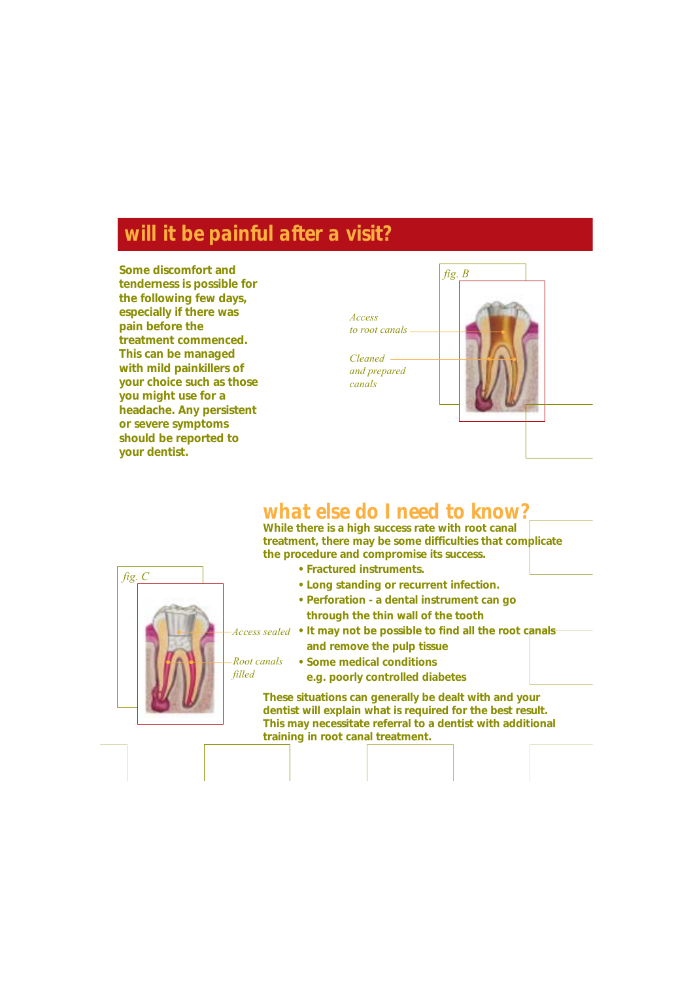# *will it be painful after a visit?*

**Some discomfort and tenderness is possible for the following few days, especially if there was pain before the treatment commenced. This can be managed with mild painkillers of your choice such as those you might use for a headache. Any persistent or severe symptoms should be reported to your dentist.**



### *what else do I need to know?*

**While there is a high success rate with root canal treatment, there may be some difficulties that complicate the procedure and compromise its success.**

*fig. C* **• Fractured instruments. • Long standing or recurrent infection. • Perforation - a dental instrument can go through the thin wall of the tooth • It may not be possible to find all the root canals**  *Access sealed* **and remove the pulp tissue • Some medical conditions e.g. poorly controlled diabetes These situations can generally be dealt with and your dentist will explain what is required for the best result. This may necessitate referral to a dentist with additional training in root canal treatment.** *Root canals filled*